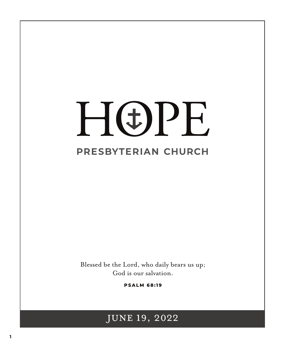# HOPE **PRESBYTERIAN CHURCH**

Blessed be the Lord, who daily bears us up; God is our salvation.

**PSALM 68:19**

# june 19, 2022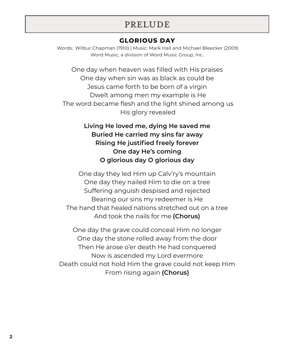# PRELUDE

#### **GLORIOUS DAY**

 Words:. Wilbur Chapman (1910) | Music: Mark Hall and Michael Bleecker (2009) Word Music, a division of Word Music Group, Inc.

One day when heaven was filled with His praises One day when sin was as black as could be Jesus came forth to be born of a virgin Dwelt among men my example is He The word became flesh and the light shined among us His glory revealed

## **Living He loved me, dying He saved me Buried He carried my sins far away Rising He justified freely forever One day He's coming O glorious day O glorious day**

One day they led Him up Calv'ry's mountain One day they nailed Him to die on a tree Suffering anguish despised and rejected Bearing our sins my redeemer is He The hand that healed nations stretched out on a tree And took the nails for me **(Chorus)**

One day the grave could conceal Him no longer One day the stone rolled away from the door Then He arose o'er death He had conquered Now is ascended my Lord evermore Death could not hold Him the grave could not keep Him From rising again **(Chorus)**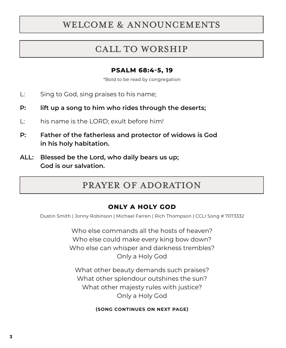# welcome & announcements

# Call To Worship

#### **PSALM 68:4-5, 19**

\*Bold to be read by congregation

- L: Sing to God, sing praises to his name;
- **P: lift up a song to him who rides through the deserts;**
- L: his name is the LORD; exult before him!
- **P: Father of the fatherless and protector of widows is God in his holy habitation.**
- **ALL: Blessed be the Lord, who daily bears us up; God is our salvation.**

# PrAYER OF ADORATION

#### **ONLY A HOLY GOD**

Dustin Smith | Jonny Robinson | Michael Farren | Rich Thompson | CCLI Song # 7073332

Who else commands all the hosts of heaven? Who else could make every king bow down? Who else can whisper and darkness trembles? Only a Holy God

What other beauty demands such praises? What other splendour outshines the sun? What other majesty rules with justice? Only a Holy God

#### **(SONG CONTINUES ON NEXT PAGE)**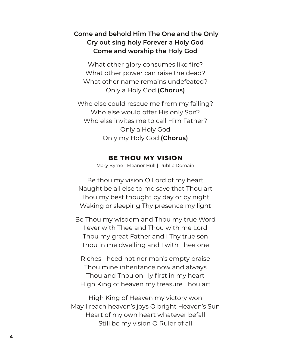#### **Come and behold Him The One and the Only Cry out sing holy Forever a Holy God Come and worship the Holy God**

What other glory consumes like fire? What other power can raise the dead? What other name remains undefeated? Only a Holy God **(Chorus)**

Who else could rescue me from my failing? Who else would offer His only Son? Who else invites me to call Him Father? Only a Holy God Only my Holy God **(Chorus)**

#### **BE THOU MY VISION**

Mary Byrne | Eleanor Hull | Public Domain

Be thou my vision O Lord of my heart Naught be all else to me save that Thou art Thou my best thought by day or by night Waking or sleeping Thy presence my light

Be Thou my wisdom and Thou my true Word I ever with Thee and Thou with me Lord Thou my great Father and I Thy true son Thou in me dwelling and I with Thee one

Riches I heed not nor man's empty praise Thou mine inheritance now and always Thou and Thou on--ly first in my heart High King of heaven my treasure Thou art

High King of Heaven my victory won May I reach heaven's joys O bright Heaven's Sun Heart of my own heart whatever befall Still be my vision O Ruler of all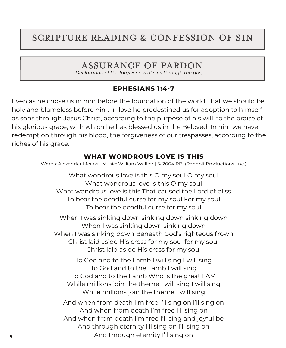# SCRIPTURE READING & CONFESSION OF SIN

## ASSURANCE OF PARDON

*Declaration of the forgiveness of sins through the gospel*

#### **EPHESIANS 1:4-7**

Even as he chose us in him before the foundation of the world, that we should be holy and blameless before him. In love he predestined us for adoption to himself as sons through Jesus Christ, according to the purpose of his will, to the praise of his glorious grace, with which he has blessed us in the Beloved. In him we have redemption through his blood, the forgiveness of our trespasses, according to the riches of his grace.

#### **WHAT WONDROUS LOVE IS THIS**

Words: Alexander Means | Music: William Walker | © 2004 RPI (Randolf Productions, Inc.)

What wondrous love is this O my soul O my soul What wondrous love is this O my soul What wondrous love is this That caused the Lord of bliss To bear the deadful curse for my soul For my soul To bear the deadful curse for my soul

When I was sinking down sinking down sinking down When I was sinking down sinking down When I was sinking down Beneath God's righteous frown Christ laid aside His cross for my soul for my soul Christ laid aside His cross for my soul

To God and to the Lamb I will sing I will sing To God and to the Lamb I will sing To God and to the Lamb Who is the great I AM While millions join the theme I will sing I will sing While millions join the theme I will sing

And when from death I'm free I'll sing on I'll sing on And when from death I'm free I'll sing on And when from death I'm free I'll sing and joyful be And through eternity I'll sing on I'll sing on And through eternity I'll sing on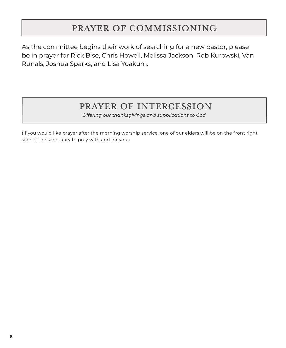# prayer of commissioning

As the committee begins their work of searching for a new pastor, please be in prayer for Rick Bise, Chris Howell, Melissa Jackson, Rob Kurowski, Van Runals, Joshua Sparks, and Lisa Yoakum.

# Prayer of intercession

*Offering our thanksgivings and supplications to God*

(If you would like prayer after the morning worship service, one of our elders will be on the front right side of the sanctuary to pray with and for you.)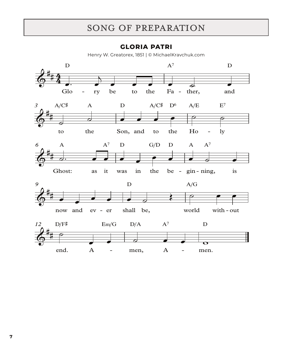#### song of preparation **SOLORY PREPARA** Traditional words Henry W. Greatorex 1851 in the U.S. and the U.S. and the U.S. and the U.S. and the U.S. and NG OF PREPARAT TRADITIONAL WEBSITE CONCLUDED AND ATION  $\overline{a}$

Glory Patri

D

D

D

œ™ œ

D

#

<sup>4</sup> & <sup>4</sup> .<br>.<br>.

# **GLORIA PATRI** œ œ œ œ ˙ œ



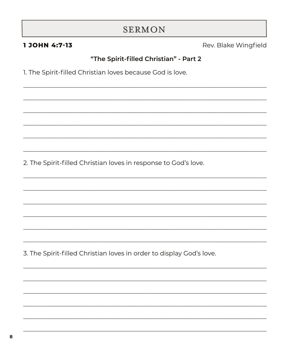# **SERMON**

#### 1 JOHN 4:7-13

Rev. Blake Wingfield

#### "The Spirit-filled Christian" - Part 2

1. The Spirit-filled Christian loves because God is love.

2. The Spirit-filled Christian loves in response to God's love.

3. The Spirit-filled Christian loves in order to display God's love.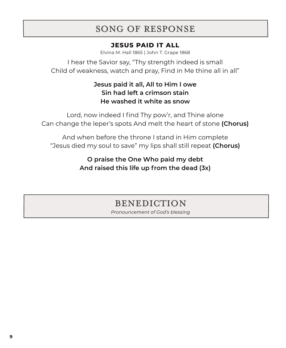# song of response

#### **JESUS PAID IT ALL**

Elvina M. Hall 1865 | John T. Grape 1868

I hear the Savior say, "Thy strength indeed is small Child of weakness, watch and pray, Find in Me thine all in all"

## **Jesus paid it all, All to Him I owe Sin had left a crimson stain He washed it white as snow**

Lord, now indeed I find Thy pow'r, and Thine alone Can change the leper's spots And melt the heart of stone **(Chorus)**

And when before the throne I stand in Him complete "Jesus died my soul to save" my lips shall still repeat **(Chorus)**

## **O praise the One Who paid my debt And raised this life up from the dead (3x)**

#### **BENEDICTION**  *Pronouncement of God's blessing*

**9**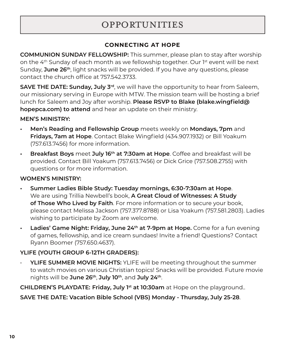# **OPPORTUNITIES**

#### **CONNECTING AT HOPE**

**COMMUNION SUNDAY FELLOWSHIP:** This summer, please plan to stay after worship on the 4<sup>th</sup> Sunday of each month as we fellowship together. Our 1<sup>st</sup> event will be next Sunday, **June 26th**, light snacks will be provided. If you have any questions, please contact the church office at 757.542.3733.

**SAVE THE DATE: Sunday, July 3<sup>rd</sup>**, we will have the opportunity to hear from Saleem, our missionary serving in Europe with MTW. The mission team will be hosting a brief lunch for Saleem and Joy after worship. **Please RSVP to Blake (blake.wingfield@ hopepca.com) to attend** and hear an update on their ministry.

#### **MEN'S MINISTRY:**

- **• Men's Reading and Fellowship Group** meets weekly on **Mondays, 7pm** and **Fridays, 7am at Hope**. Contact Blake Wingfield (434.907.1932) or Bill Yoakum (757.613.7456) for more information.
- **• Breakfast Boys** meet **July 16th at 7:30am at Hope**. Coffee and breakfast will be provided. Contact Bill Yoakum (757.613.7456) or Dick Grice (757.508.2755) with questions or for more information.

#### **WOMEN'S MINISTRY:**

- **• Summer Ladies Bible Study: Tuesday mornings, 6:30-7:30am at Hope**. We are using Trillia Newbell's book, **A Great Cloud of Witnesses: A Study of Those Who Lived by Faith**. For more information or to secure your book, please contact Melissa Jackson (757.377.8788) or Lisa Yoakum (757.581.2803). Ladies wishing to participate by Zoom are welcome.
- **• Ladies' Game Night: Friday, June 24th at 7-9pm at Hope.** Come for a fun evening of games, fellowship, and ice cream sundaes! Invite a friend! Questions? Contact Ryann Boomer (757.650.4637).

#### **YLIFE (YOUTH GROUP 6-12TH GRADERS):**

• **YLIFE SUMMER MOVIE NIGHTS:** YLIFE will be meeting throughout the summer to watch movies on various Christian topics! Snacks will be provided. Future movie nights will be **June 26th**, **July 10th**, and **July 24th**.

**CHILDREN'S PLAYDATE: Friday, July 1st at 10:30am** at Hope on the playground..

#### **SAVE THE DATE: Vacation Bible School (VBS) Monday - Thursday, July 25-28**.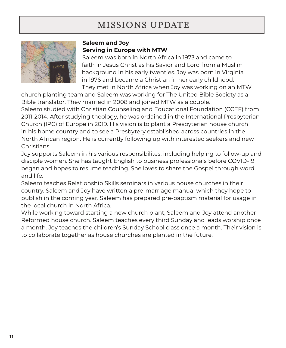# missions update



#### **Saleem and Joy Serving in Europe with MTW**

Saleem was born in North Africa in 1973 and came to faith in Jesus Christ as his Savior and Lord from a Muslim background in his early twenties. Joy was born in Virginia in 1976 and became a Christian in her early childhood. They met in North Africa when Joy was working on an MTW

church planting team and Saleem was working for The United Bible Society as a Bible translator. They married in 2008 and joined MTW as a couple.

Saleem studied with Christian Counseling and Educational Foundation (CCEF) from 2011-2014. After studying theology, he was ordained in the International Presbyterian Church (IPC) of Europe in 2019. His vision is to plant a Presbyterian house church in his home country and to see a Presbytery established across countries in the North African region. He is currently following up with interested seekers and new Christians.

Joy supports Saleem in his various responsibilites, including helping to follow-up and disciple women. She has taught English to business professionals before COVID-19 began and hopes to resume teaching. She loves to share the Gospel through word and life.

Saleem teaches Relationship Skills seminars in various house churches in their country. Saleem and Joy have written a pre-marriage manual which they hope to publish in the coming year. Saleem has prepared pre-baptism material for usage in the local church in North Africa.

While working toward starting a new church plant, Saleem and Joy attend another Reformed house church. Saleem teaches every third Sunday and leads worship once a month. Joy teaches the children's Sunday School class once a month. Their vision is to collaborate together as house churches are planted in the future.